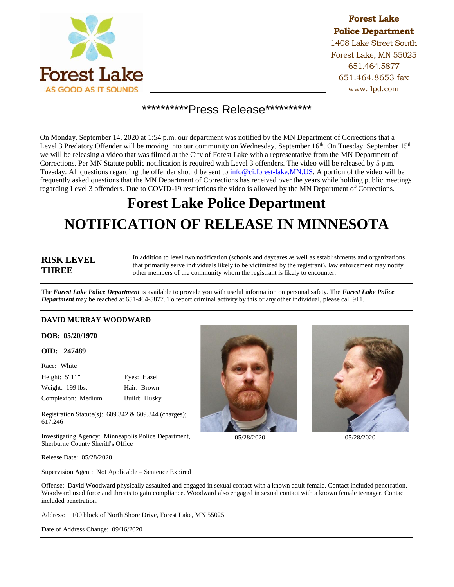

# **Forest Lake Police Department**

1408 Lake Street South Forest Lake, MN 55025 651.464.5877 651.464.8653 fax www.flpd.com

# \*\*\*\*\*\*\*\*\*\*Press Release\*\*\*\*\*\*\*\*\*\*\*

On Monday, September 14, 2020 at 1:54 p.m. our department was notified by the MN Department of Corrections that a Level 3 Predatory Offender will be moving into our community on Wednesday, September 16<sup>th</sup>. On Tuesday, September 15<sup>th</sup> we will be releasing a video that was filmed at the City of Forest Lake with a representative from the MN Department of Corrections. Per MN Statute public notification is required with Level 3 offenders. The video will be released by 5 p.m. Tuesday. All questions regarding the offender should be sent to  $info@ci.fores-t lake.MN.U.S.$  A portion of the video will be frequently asked questions that the MN Department of Corrections has received over the years while holding public meetings regarding Level 3 offenders. Due to COVID-19 restrictions the video is allowed by the MN Department of Corrections.

# **Forest Lake Police Department NOTIFICATION OF RELEASE IN MINNESOTA**

## **RISK LEVEL THREE**

In addition to level two notification (schools and daycares as well as establishments and organizations that primarily serve individuals likely to be victimized by the registrant), law enforcement may notify other members of the community whom the registrant is likely to encounter.

The *Forest Lake Police Department* is available to provide you with useful information on personal safety. The *Forest Lake Police Department* may be reached at 651-464-5877. To report criminal activity by this or any other individual, please call 911.

### **DAVID MURRAY WOODWARD**

#### **DOB: 05/20/1970**

#### **OID: 247489**

| Race: White        |              |
|--------------------|--------------|
| Height: 5' 11"     | Eyes: Hazel  |
| Weight: 199 lbs.   | Hair: Brown  |
| Complexion: Medium | Build: Husky |

Registration Statute(s): 609.342 & 609.344 (charges); 617.246

Investigating Agency: Minneapolis Police Department, Sherburne County Sheriff's Office





05/28/2020 05/28/2020

Release Date: 05/28/2020

Supervision Agent: Not Applicable – Sentence Expired

Offense: David Woodward physically assaulted and engaged in sexual contact with a known adult female. Contact included penetration. Woodward used force and threats to gain compliance. Woodward also engaged in sexual contact with a known female teenager. Contact included penetration.

Address: 1100 block of North Shore Drive, Forest Lake, MN 55025

Date of Address Change: 09/16/2020